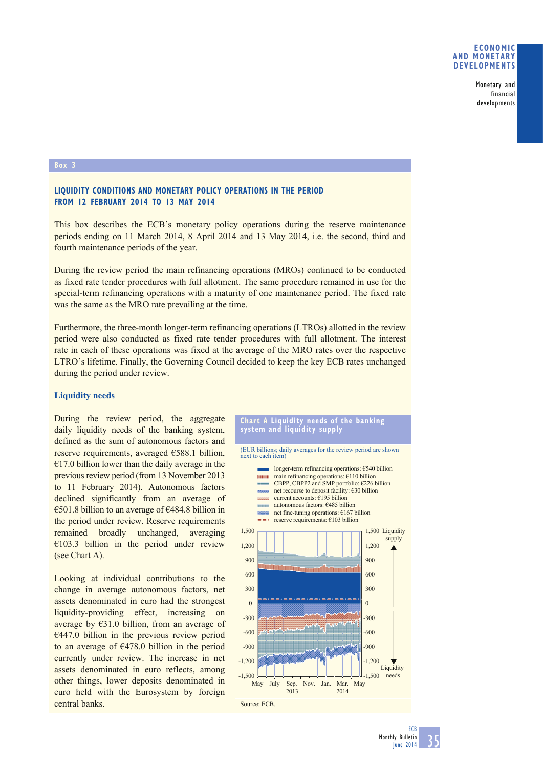## **ECONOMIC AND MONETARY DEVELOPMENTS**

Monetary and financial developments

#### **Box 3**

# **LIQUIDITY CONDITIONS AND MONETARY POLICY OPERATIONS IN THE PERIOD FROM 12 FEBRUARY 2014 TO 13 MAY 2014**

This box describes the ECB's monetary policy operations during the reserve maintenance periods ending on 11 March 2014, 8 April 2014 and 13 May 2014, i.e. the second, third and fourth maintenance periods of the year.

During the review period the main refinancing operations (MROs) continued to be conducted as fixed rate tender procedures with full allotment. The same procedure remained in use for the special-term refinancing operations with a maturity of one maintenance period. The fixed rate was the same as the MRO rate prevailing at the time.

Furthermore, the three-month longer-term refinancing operations (LTROs) allotted in the review period were also conducted as fixed rate tender procedures with full allotment. The interest rate in each of these operations was fixed at the average of the MRO rates over the respective LTRO's lifetime. Finally, the Governing Council decided to keep the key ECB rates unchanged during the period under review.

## **Liquidity needs**

During the review period, the aggregate daily liquidity needs of the banking system, defined as the sum of autonomous factors and reserve requirements, averaged €588.1 billion,  $€17.0$  billion lower than the daily average in the previous review period (from 13 November 2013 to 11 February 2014). Autonomous factors declined significantly from an average of €501.8 billion to an average of €484.8 billion in the period under review. Reserve requirements remained broadly unchanged, averaging  $€103.3$  billion in the period under review (see Chart A).

Looking at individual contributions to the change in average autonomous factors, net assets denominated in euro had the strongest liquidity-providing effect, increasing on average by  $E31.0$  billion, from an average of  $€447.0$  billion in the previous review period to an average of  $E478.0$  billion in the period currently under review. The increase in net assets denominated in euro reflects, among other things, lower deposits denominated in euro held with the Eurosystem by foreign central banks.

#### **Chart A Liquidity needs of the banking system and liquidity supply**

(EUR billions; daily averages for the review period are shown next to each item)

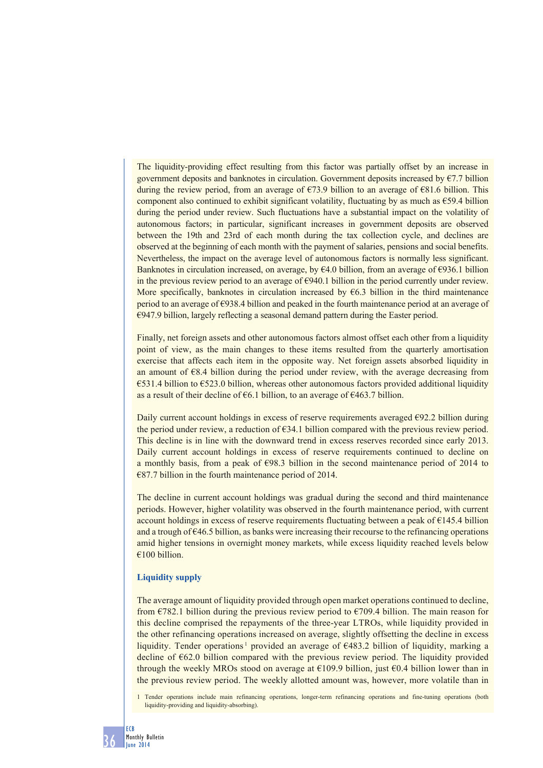The liquidity-providing effect resulting from this factor was partially offset by an increase in government deposits and banknotes in circulation. Government deposits increased by  $\epsilon$ 7.7 billion during the review period, from an average of  $\epsilon$ 73.9 billion to an average of  $\epsilon$ 81.6 billion. This component also continued to exhibit significant volatility, fluctuating by as much as  $\epsilon$ 59.4 billion during the period under review. Such fluctuations have a substantial impact on the volatility of autonomous factors; in particular, significant increases in government deposits are observed between the 19th and 23rd of each month during the tax collection cycle, and declines are observed at the beginning of each month with the payment of salaries, pensions and social benefits. Nevertheless, the impact on the average level of autonomous factors is normally less significant. Banknotes in circulation increased, on average, by  $\epsilon$ 4.0 billion, from an average of  $\epsilon$ 936.1 billion in the previous review period to an average of  $\epsilon$ 940.1 billion in the period currently under review. More specifically, banknotes in circulation increased by  $E6.3$  billion in the third maintenance period to an average of €938.4 billion and peaked in the fourth maintenance period at an average of  $€947.9$  billion, largely reflecting a seasonal demand pattern during the Easter period.

Finally, net foreign assets and other autonomous factors almost offset each other from a liquidity point of view, as the main changes to these items resulted from the quarterly amortisation exercise that affects each item in the opposite way. Net foreign assets absorbed liquidity in an amount of €8.4 billion during the period under review, with the average decreasing from €531.4 billion to €523.0 billion, whereas other autonomous factors provided additional liquidity as a result of their decline of  $\epsilon$ 6.1 billion, to an average of  $\epsilon$ 463.7 billion.

Daily current account holdings in excess of reserve requirements averaged €92.2 billion during the period under review, a reduction of  $\epsilon$ 34.1 billion compared with the previous review period. This decline is in line with the downward trend in excess reserves recorded since early 2013. Daily current account holdings in excess of reserve requirements continued to decline on a monthly basis, from a peak of €98.3 billion in the second maintenance period of 2014 to  $€87.7$  billion in the fourth maintenance period of 2014.

The decline in current account holdings was gradual during the second and third maintenance periods. However, higher volatility was observed in the fourth maintenance period, with current account holdings in excess of reserve requirements fluctuating between a peak of €145.4 billion and a trough of €46.5 billion, as banks were increasing their recourse to the refinancing operations amid higher tensions in overnight money markets, while excess liquidity reached levels below  $€100 billion$ 

## **Liquidity supply**

The average amount of liquidity provided through open market operations continued to decline, from  $\epsilon$ 782.1 billion during the previous review period to  $\epsilon$ 709.4 billion. The main reason for this decline comprised the repayments of the three-year LTROs, while liquidity provided in the other refinancing operations increased on average, slightly offsetting the decline in excess liquidity. Tender operations<sup>1</sup> provided an average of  $\epsilon$ 483.2 billion of liquidity, marking a decline of €62.0 billion compared with the previous review period. The liquidity provided through the weekly MROs stood on average at  $\epsilon$ 109.9 billion, just  $\epsilon$ 0.4 billion lower than in the previous review period. The weekly allotted amount was, however, more volatile than in

1 Tender operations include main refinancing operations, longer-term refinancing operations and fine-tuning operations (both liquidity-providing and liquidity-absorbing).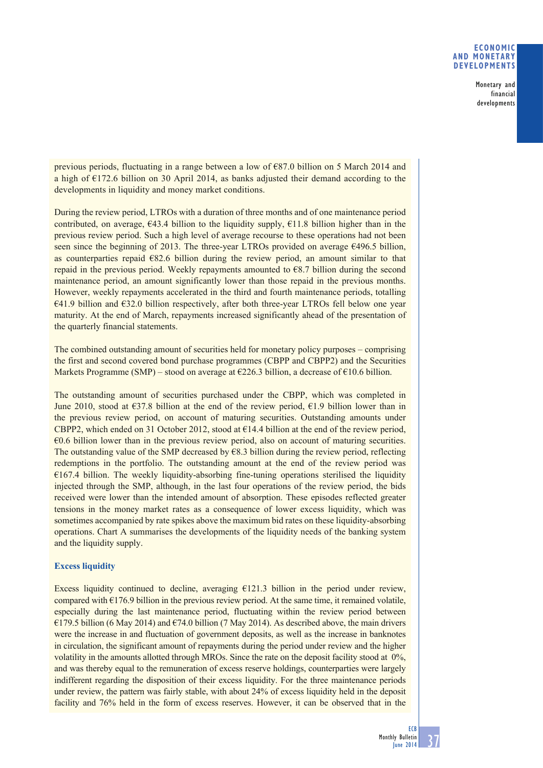## **ECONOMIC AND MONETARY DEVELOPMENTS**

Monetary and financial developments

previous periods, fluctuating in a range between a low of €87.0 billion on 5 March 2014 and a high of €172.6 billion on 30 April 2014, as banks adjusted their demand according to the developments in liquidity and money market conditions.

During the review period, LTROs with a duration of three months and of one maintenance period contributed, on average,  $\epsilon$ 43.4 billion to the liquidity supply,  $\epsilon$ 11.8 billion higher than in the previous review period. Such a high level of average recourse to these operations had not been seen since the beginning of 2013. The three-year LTROs provided on average €496.5 billion, as counterparties repaid  $E82.6$  billion during the review period, an amount similar to that repaid in the previous period. Weekly repayments amounted to  $68.7$  billion during the second maintenance period, an amount significantly lower than those repaid in the previous months. However, weekly repayments accelerated in the third and fourth maintenance periods, totalling  $\epsilon$ 41.9 billion and  $\epsilon$ 32.0 billion respectively, after both three-year LTROs fell below one year maturity. At the end of March, repayments increased significantly ahead of the presentation of the quarterly financial statements.

The combined outstanding amount of securities held for monetary policy purposes – comprising the first and second covered bond purchase programmes (CBPP and CBPP2) and the Securities Markets Programme (SMP) – stood on average at  $\epsilon$ 226.3 billion, a decrease of  $\epsilon$ 10.6 billion.

The outstanding amount of securities purchased under the CBPP, which was completed in June 2010, stood at  $\epsilon$ 37.8 billion at the end of the review period,  $\epsilon$ 1.9 billion lower than in the previous review period, on account of maturing securities. Outstanding amounts under CBPP2, which ended on 31 October 2012, stood at  $\epsilon$ 14.4 billion at the end of the review period, €0.6 billion lower than in the previous review period, also on account of maturing securities. The outstanding value of the SMP decreased by  $68.3$  billion during the review period, reflecting redemptions in the portfolio. The outstanding amount at the end of the review period was  $€167.4$  billion. The weekly liquidity-absorbing fine-tuning operations sterilised the liquidity injected through the SMP, although, in the last four operations of the review period, the bids received were lower than the intended amount of absorption. These episodes reflected greater tensions in the money market rates as a consequence of lower excess liquidity, which was sometimes accompanied by rate spikes above the maximum bid rates on these liquidity-absorbing operations. Chart A summarises the developments of the liquidity needs of the banking system and the liquidity supply.

# **Excess liquidity**

Excess liquidity continued to decline, averaging  $E121.3$  billion in the period under review, compared with  $E176.9$  billion in the previous review period. At the same time, it remained volatile, especially during the last maintenance period, fluctuating within the review period between €179.5 billion (6 May 2014) and €74.0 billion (7 May 2014). As described above, the main drivers were the increase in and fluctuation of government deposits, as well as the increase in banknotes in circulation, the significant amount of repayments during the period under review and the higher volatility in the amounts allotted through MROs. Since the rate on the deposit facility stood at 0%, and was thereby equal to the remuneration of excess reserve holdings, counterparties were largely indifferent regarding the disposition of their excess liquidity. For the three maintenance periods under review, the pattern was fairly stable, with about 24% of excess liquidity held in the deposit facility and 76% held in the form of excess reserves. However, it can be observed that in the